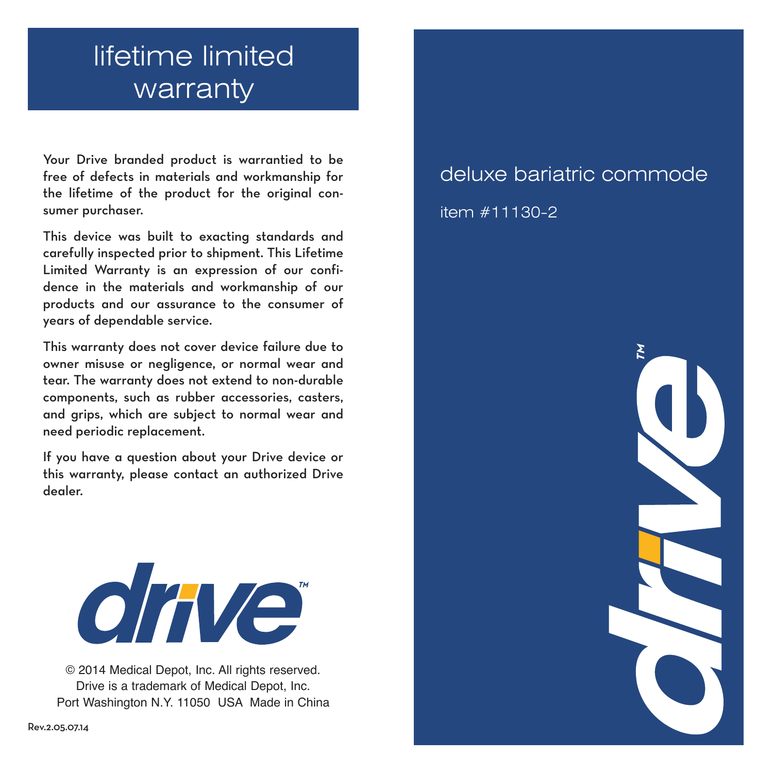## lifetime limited warranty

Your Drive branded product is warrantied to be free of defects in materials and workmanship for the lifetime of the product for the original consumer purchaser.

This device was built to exacting standards and carefully inspected prior to shipment. This Lifetime Limited Warranty is an expression of our confidence in the materials and workmanship of our products and our assurance to the consumer of years of dependable service.

This warranty does not cover device failure due to owner misuse or negligence, or normal wear and tear. The warranty does not extend to non-durable components, such as rubber accessories, casters, and grips, which are subject to normal wear and need periodic replacement.

If you have a question about your Drive device or this warranty, please contact an authorized Drive dealer.



© 2014 Medical Depot, Inc. All rights reserved. Drive is a trademark of Medical Depot, Inc. Port Washington N.Y. 11050 USA Made in China

# deluxe bariatric commode

item #11130-2